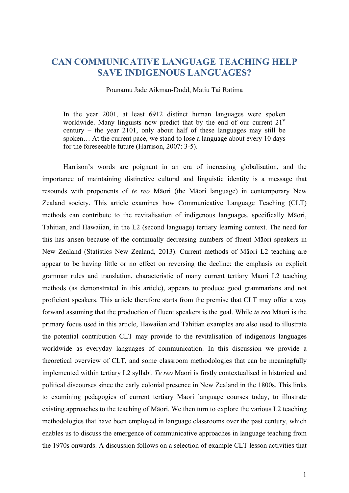# **CAN COMMUNICATIVE LANGUAGE TEACHING HELP SAVE INDIGENOUS LANGUAGES?**

## Pounamu Jade Aikman-Dodd, Matiu Tai Rātima

In the year 2001, at least 6912 distinct human languages were spoken worldwide. Many linguists now predict that by the end of our current 21<sup>st</sup> century – the year 2101, only about half of these languages may still be spoken… At the current pace, we stand to lose a language about every 10 days for the foreseeable future (Harrison, 2007: 3-5).

Harrison's words are poignant in an era of increasing globalisation, and the importance of maintaining distinctive cultural and linguistic identity is a message that resounds with proponents of *te reo* Māori (the Māori language) in contemporary New Zealand society. This article examines how Communicative Language Teaching (CLT) methods can contribute to the revitalisation of indigenous languages, specifically Māori, Tahitian, and Hawaiian, in the L2 (second language) tertiary learning context. The need for this has arisen because of the continually decreasing numbers of fluent Māori speakers in New Zealand (Statistics New Zealand, 2013). Current methods of Māori L2 teaching are appear to be having little or no effect on reversing the decline: the emphasis on explicit grammar rules and translation, characteristic of many current tertiary Māori L2 teaching methods (as demonstrated in this article), appears to produce good grammarians and not proficient speakers. This article therefore starts from the premise that CLT may offer a way forward assuming that the production of fluent speakers is the goal. While *te reo* Māori is the primary focus used in this article, Hawaiian and Tahitian examples are also used to illustrate the potential contribution CLT may provide to the revitalisation of indigenous languages worldwide as everyday languages of communication. In this discussion we provide a theoretical overview of CLT, and some classroom methodologies that can be meaningfully implemented within tertiary L2 syllabi. *Te reo* Māori is firstly contextualised in historical and political discourses since the early colonial presence in New Zealand in the 1800s. This links to examining pedagogies of current tertiary Māori language courses today, to illustrate existing approaches to the teaching of Māori. We then turn to explore the various L2 teaching methodologies that have been employed in language classrooms over the past century, which enables us to discuss the emergence of communicative approaches in language teaching from the 1970s onwards. A discussion follows on a selection of example CLT lesson activities that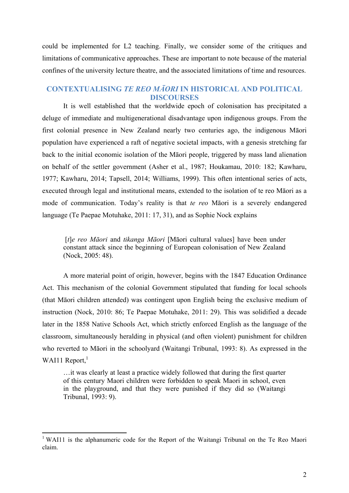could be implemented for L2 teaching. Finally, we consider some of the critiques and limitations of communicative approaches. These are important to note because of the material confines of the university lecture theatre, and the associated limitations of time and resources.

## **CONTEXTUALISING** *TE REO MĀORI* **IN HISTORICAL AND POLITICAL DISCOURSES**

It is well established that the worldwide epoch of colonisation has precipitated a deluge of immediate and multigenerational disadvantage upon indigenous groups. From the first colonial presence in New Zealand nearly two centuries ago, the indigenous Māori population have experienced a raft of negative societal impacts, with a genesis stretching far back to the initial economic isolation of the Māori people, triggered by mass land alienation on behalf of the settler government (Asher et al., 1987; Houkamau, 2010: 182; Kawharu, 1977; Kawharu, 2014; Tapsell, 2014; Williams, 1999). This often intentional series of acts, executed through legal and institutional means, extended to the isolation of te reo Māori as a mode of communication. Today's reality is that *te reo* Māori is a severely endangered language (Te Paepae Motuhake, 2011: 17, 31), and as Sophie Nock explains

[*t*]*e reo Māori* and *tikanga Māori* [Māori cultural values] have been under constant attack since the beginning of European colonisation of New Zealand (Nock, 2005: 48).

A more material point of origin, however, begins with the 1847 Education Ordinance Act. This mechanism of the colonial Government stipulated that funding for local schools (that Māori children attended) was contingent upon English being the exclusive medium of instruction (Nock, 2010: 86; Te Paepae Motuhake, 2011: 29). This was solidified a decade later in the 1858 Native Schools Act, which strictly enforced English as the language of the classroom, simultaneously heralding in physical (and often violent) punishment for children who reverted to Māori in the schoolyard (Waitangi Tribunal, 1993: 8). As expressed in the WAI11 Report, $<sup>1</sup>$ </sup>

…it was clearly at least a practice widely followed that during the first quarter of this century Maori children were forbidden to speak Maori in school, even in the playground, and that they were punished if they did so (Waitangi Tribunal, 1993: 9).

 

<sup>&</sup>lt;sup>1</sup> WAI11 is the alphanumeric code for the Report of the Waitangi Tribunal on the Te Reo Maori claim.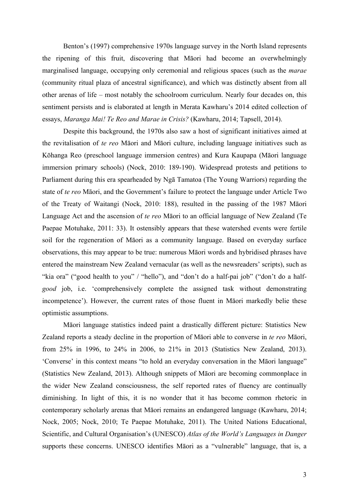Benton's (1997) comprehensive 1970s language survey in the North Island represents the ripening of this fruit, discovering that Māori had become an overwhelmingly marginalised language, occupying only ceremonial and religious spaces (such as the *marae*  (community ritual plaza of ancestral significance), and which was distinctly absent from all other arenas of life – most notably the schoolroom curriculum. Nearly four decades on, this sentiment persists and is elaborated at length in Merata Kawharu's 2014 edited collection of essays, *Maranga Mai! Te Reo and Marae in Crisis?* (Kawharu, 2014; Tapsell, 2014).

Despite this background, the 1970s also saw a host of significant initiatives aimed at the revitalisation of *te reo* Māori and Māori culture, including language initiatives such as Kōhanga Reo (preschool language immersion centres) and Kura Kaupapa (Māori language immersion primary schools) (Nock, 2010: 189-190). Widespread protests and petitions to Parliament during this era spearheaded by Ngā Tamatoa (The Young Warriors) regarding the state of *te reo* Māori, and the Government's failure to protect the language under Article Two of the Treaty of Waitangi (Nock, 2010: 188), resulted in the passing of the 1987 Māori Language Act and the ascension of *te reo* Māori to an official language of New Zealand (Te Paepae Motuhake, 2011: 33). It ostensibly appears that these watershed events were fertile soil for the regeneration of Māori as a community language. Based on everyday surface observations, this may appear to be true: numerous Māori words and hybridised phrases have entered the mainstream New Zealand vernacular (as well as the newsreaders' scripts), such as "kia ora" ("good health to you" / "hello"), and "don't do a half-pai job" ("don't do a half*good* job, i.e. 'comprehensively complete the assigned task without demonstrating incompetence'). However, the current rates of those fluent in Māori markedly belie these optimistic assumptions.

Māori language statistics indeed paint a drastically different picture: Statistics New Zealand reports a steady decline in the proportion of Māori able to converse in *te reo* Māori, from 25% in 1996, to 24% in 2006, to 21% in 2013 (Statistics New Zealand, 2013). 'Converse' in this context means "to hold an everyday conversation in the Māori language" (Statistics New Zealand, 2013). Although snippets of Māori are becoming commonplace in the wider New Zealand consciousness, the self reported rates of fluency are continually diminishing. In light of this, it is no wonder that it has become common rhetoric in contemporary scholarly arenas that Māori remains an endangered language (Kawharu, 2014; Nock, 2005; Nock, 2010; Te Paepae Motuhake, 2011). The United Nations Educational, Scientific, and Cultural Organisation's (UNESCO) *Atlas of the World's Languages in Danger* supports these concerns. UNESCO identifies Māori as a "vulnerable" language, that is, a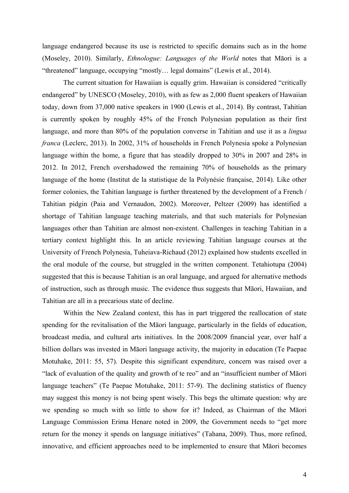language endangered because its use is restricted to specific domains such as in the home (Moseley, 2010). Similarly, *Ethnologue: Languages of the World* notes that Māori is a "threatened" language, occupying "mostly… legal domains" (Lewis et al., 2014).

The current situation for Hawaiian is equally grim. Hawaiian is considered "critically endangered" by UNESCO (Moseley, 2010), with as few as 2,000 fluent speakers of Hawaiian today, down from 37,000 native speakers in 1900 (Lewis et al., 2014). By contrast, Tahitian is currently spoken by roughly 45% of the French Polynesian population as their first language, and more than 80% of the population converse in Tahitian and use it as a *lingua franca* (Leclerc, 2013). In 2002, 31% of households in French Polynesia spoke a Polynesian language within the home, a figure that has steadily dropped to 30% in 2007 and 28% in 2012. In 2012, French overshadowed the remaining 70% of households as the primary language of the home (Institut de la statistique de la Polynésie française, 2014). Like other former colonies, the Tahitian language is further threatened by the development of a French / Tahitian pidgin (Paia and Vernaudon, 2002). Moreover, Peltzer (2009) has identified a shortage of Tahitian language teaching materials, and that such materials for Polynesian languages other than Tahitian are almost non-existent. Challenges in teaching Tahitian in a tertiary context highlight this. In an article reviewing Tahitian language courses at the University of French Polynesia, Tuheiava-Richaud (2012) explained how students excelled in the oral module of the course, but struggled in the written component. Tetahiotupa (2004) suggested that this is because Tahitian is an oral language, and argued for alternative methods of instruction, such as through music. The evidence thus suggests that Māori, Hawaiian, and Tahitian are all in a precarious state of decline.

Within the New Zealand context, this has in part triggered the reallocation of state spending for the revitalisation of the Māori language, particularly in the fields of education, broadcast media, and cultural arts initiatives. In the 2008/2009 financial year, over half a billion dollars was invested in Māori language activity, the majority in education (Te Paepae Motuhake, 2011: 55, 57). Despite this significant expenditure, concern was raised over a "lack of evaluation of the quality and growth of te reo" and an "insufficient number of Māori language teachers" (Te Paepae Motuhake, 2011: 57-9). The declining statistics of fluency may suggest this money is not being spent wisely. This begs the ultimate question: why are we spending so much with so little to show for it? Indeed, as Chairman of the Māori Language Commission Erima Henare noted in 2009, the Government needs to "get more return for the money it spends on language initiatives" (Tahana, 2009). Thus, more refined, innovative, and efficient approaches need to be implemented to ensure that Māori becomes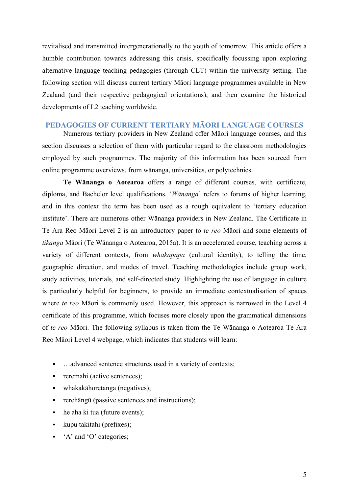revitalised and transmitted intergenerationally to the youth of tomorrow. This article offers a humble contribution towards addressing this crisis, specifically focussing upon exploring alternative language teaching pedagogies (through CLT) within the university setting. The following section will discuss current tertiary Māori language programmes available in New Zealand (and their respective pedagogical orientations), and then examine the historical developments of L2 teaching worldwide.

## **PEDAGOGIES OF CURRENT TERTIARY MĀORI LANGUAGE COURSES**

Numerous tertiary providers in New Zealand offer Māori language courses, and this section discusses a selection of them with particular regard to the classroom methodologies employed by such programmes. The majority of this information has been sourced from online programme overviews, from wānanga, universities, or polytechnics.

**Te Wānanga o Aotearoa** offers a range of different courses, with certificate, diploma, and Bachelor level qualifications. '*Wānanga*' refers to forums of higher learning, and in this context the term has been used as a rough equivalent to 'tertiary education institute'. There are numerous other Wānanga providers in New Zealand. The Certificate in Te Ara Reo Māori Level 2 is an introductory paper to *te reo* Māori and some elements of *tikanga* Māori (Te Wānanga o Aotearoa, 2015a). It is an accelerated course, teaching across a variety of different contexts, from *whakapapa* (cultural identity), to telling the time, geographic direction, and modes of travel. Teaching methodologies include group work, study activities, tutorials, and self-directed study. Highlighting the use of language in culture is particularly helpful for beginners, to provide an immediate contextualisation of spaces where *te reo* Māori is commonly used. However, this approach is narrowed in the Level 4 certificate of this programme, which focuses more closely upon the grammatical dimensions of *te reo* Māori. The following syllabus is taken from the Te Wānanga o Aotearoa Te Ara Reo Māori Level 4 webpage, which indicates that students will learn:

- **EXECUTE:** ...advanced sentence structures used in a variety of contexts;
- $\blacksquare$  reremahi (active sentences);
- whakakāhoretanga (negatives);
- rerehāngū (passive sentences and instructions);
- he aha ki tua (future events);
- kupu takitahi (prefixes);
- 'A' and 'O' categories;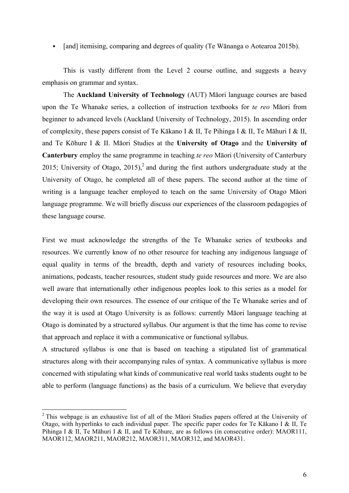• [and] itemising, comparing and degrees of quality (Te Wānanga o Aotearoa 2015b).

This is vastly different from the Level 2 course outline, and suggests a heavy emphasis on grammar and syntax.

The **Auckland University of Technology** (AUT) Māori language courses are based upon the Te Whanake series, a collection of instruction textbooks for *te reo* Māori from beginner to advanced levels (Auckland University of Technology, 2015). In ascending order of complexity, these papers consist of Te Kākano I & II, Te Pihinga I & II, Te Māhuri I & II, and Te Kōhure I & II. Māori Studies at the **University of Otago** and the **University of Canterbury** employ the same programme in teaching *te reo* Māori (University of Canterbury 2015; University of Otago, 2015),<sup>2</sup> and during the first authors undergraduate study at the University of Otago, he completed all of these papers. The second author at the time of writing is a language teacher employed to teach on the same University of Otago Māori language programme. We will briefly discuss our experiences of the classroom pedagogies of these language course.

First we must acknowledge the strengths of the Te Whanake series of textbooks and resources. We currently know of no other resource for teaching any indigenous language of equal quality in terms of the breadth, depth and variety of resources including books, animations, podcasts, teacher resources, student study guide resources and more. We are also well aware that internationally other indigenous peoples look to this series as a model for developing their own resources. The essence of our critique of the Te Whanake series and of the way it is used at Otago University is as follows: currently Māori language teaching at Otago is dominated by a structured syllabus. Our argument is that the time has come to revise that approach and replace it with a communicative or functional syllabus.

A structured syllabus is one that is based on teaching a stipulated list of grammatical structures along with their accompanying rules of syntax. A communicative syllabus is more concerned with stipulating what kinds of communicative real world tasks students ought to be able to perform (language functions) as the basis of a curriculum. We believe that everyday

 

 $2$  This webpage is an exhaustive list of all of the Matori Studies papers offered at the University of Otago, with hyperlinks to each individual paper. The specific paper codes for Te Kākano I & II, Te Pihinga I & II, Te Māhuri I & II, and Te Kōhure, are as follows (in consecutive order): MAOR111, MAOR112, MAOR211, MAOR212, MAOR311, MAOR312, and MAOR431.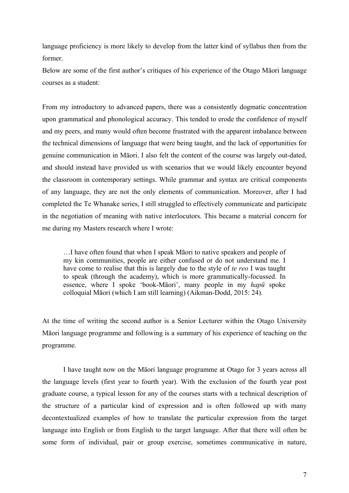language proficiency is more likely to develop from the latter kind of syllabus then from the former.

Below are some of the first author's critiques of his experience of the Otago Māori language courses as a student:

From my introductory to advanced papers, there was a consistently dogmatic concentration upon grammatical and phonological accuracy. This tended to erode the confidence of myself and my peers, and many would often become frustrated with the apparent imbalance between the technical dimensions of language that were being taught, and the lack of opportunities for genuine communication in Māori. I also felt the content of the course was largely out-dated, and should instead have provided us with scenarios that we would likely encounter beyond the classroom in contemporary settings. While grammar and syntax are critical components of any language, they are not the only elements of communication. Moreover, after I had completed the Te Whanake series, I still struggled to effectively communicate and participate in the negotiation of meaning with native interlocutors. This became a material concern for me during my Masters research where I wrote:

…I have often found that when I speak Māori to native speakers and people of my kin communities, people are either confused or do not understand me. I have come to realise that this is largely due to the style of *te reo* I was taught to speak (through the academy), which is more grammatically-focussed. In essence, where I spoke 'book-Māori', many people in my *hapū* spoke colloquial Māori (which I am still learning) (Aikman-Dodd, 2015: 24).

At the time of writing the second author is a Senior Lecturer within the Otago University Māori language programme and following is a summary of his experience of teaching on the programme.

I have taught now on the Māori language programme at Otago for 3 years across all the language levels (first year to fourth year). With the exclusion of the fourth year post graduate course, a typical lesson for any of the courses starts with a technical description of the structure of a particular kind of expression and is often followed up with many decontextualized examples of how to translate the particular expression from the target language into English or from English to the target language. After that there will often be some form of individual, pair or group exercise, sometimes communicative in nature,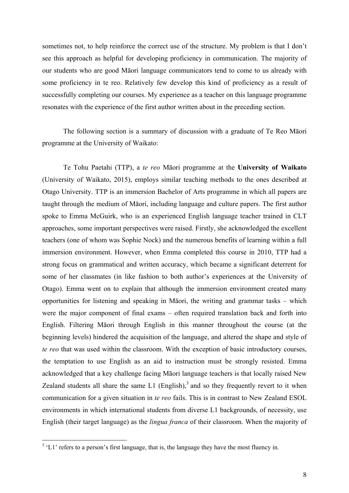sometimes not, to help reinforce the correct use of the structure. My problem is that I don't see this approach as helpful for developing proficiency in communication. The majority of our students who are good Māori language communicators tend to come to us already with some proficiency in te reo. Relatively few develop this kind of proficiency as a result of successfully completing our courses. My experience as a teacher on this language programme resonates with the experience of the first author written about in the preceding section.

The following section is a summary of discussion with a graduate of Te Reo Māori programme at the University of Waikato:

Te Tohu Paetahi (TTP), a *te reo* Māori programme at the **University of Waikato**  (University of Waikato, 2015), employs similar teaching methods to the ones described at Otago University. TTP is an immersion Bachelor of Arts programme in which all papers are taught through the medium of Māori, including language and culture papers. The first author spoke to Emma McGuirk, who is an experienced English language teacher trained in CLT approaches, some important perspectives were raised. Firstly, she acknowledged the excellent teachers (one of whom was Sophie Nock) and the numerous benefits of learning within a full immersion environment. However, when Emma completed this course in 2010, TTP had a strong focus on grammatical and written accuracy, which became a significant deterrent for some of her classmates (in like fashion to both author's experiences at the University of Otago). Emma went on to explain that although the immersion environment created many opportunities for listening and speaking in Māori, the writing and grammar tasks – which were the major component of final exams – often required translation back and forth into English. Filtering Māori through English in this manner throughout the course (at the beginning levels) hindered the acquisition of the language, and altered the shape and style of *te reo* that was used within the classroom. With the exception of basic introductory courses, the temptation to use English as an aid to instruction must be strongly resisted. Emma acknowledged that a key challenge facing Māori language teachers is that locally raised New Zealand students all share the same  $L1$  (English),<sup>3</sup> and so they frequently revert to it when communication for a given situation in *te reo* fails. This is in contrast to New Zealand ESOL environments in which international students from diverse L1 backgrounds, of necessity, use English (their target language) as the *lingua franca* of their classroom. When the majority of

 $\frac{3}{100}$  'L1' refers to a person's first language, that is, the language they have the most fluency in.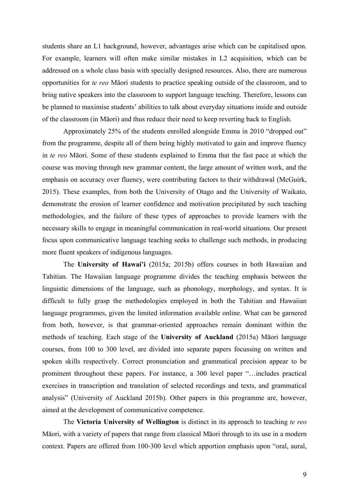students share an L1 background, however, advantages arise which can be capitalised upon. For example, learners will often make similar mistakes in L2 acquisition, which can be addressed on a whole class basis with specially designed resources. Also, there are numerous opportunities for *te reo* Māori students to practice speaking outside of the classroom, and to bring native speakers into the classroom to support language teaching. Therefore, lessons can be planned to maximise students' abilities to talk about everyday situations inside and outside of the classroom (in Māori) and thus reduce their need to keep reverting back to English.

Approximately 25% of the students enrolled alongside Emma in 2010 "dropped out" from the programme, despite all of them being highly motivated to gain and improve fluency in *te reo* Māori. Some of these students explained to Emma that the fast pace at which the course was moving through new grammar content, the large amount of written work, and the emphasis on accuracy over fluency, were contributing factors to their withdrawal (McGuirk, 2015). These examples, from both the University of Otago and the University of Waikato, demonstrate the erosion of learner confidence and motivation precipitated by such teaching methodologies, and the failure of these types of approaches to provide learners with the necessary skills to engage in meaningful communication in real-world situations. Our present focus upon communicative language teaching seeks to challenge such methods, in producing more fluent speakers of indigenous languages.

The **University of Hawai'i** (2015a; 2015b) offers courses in both Hawaiian and Tahitian. The Hawaiian language programme divides the teaching emphasis between the linguistic dimensions of the language, such as phonology, morphology, and syntax. It is difficult to fully grasp the methodologies employed in both the Tahitian and Hawaiian language programmes, given the limited information available online. What can be garnered from both, however, is that grammar-oriented approaches remain dominant within the methods of teaching. Each stage of the **University of Auckland** (2015a) Māori language courses, from 100 to 300 level, are divided into separate papers focussing on written and spoken skills respectively. Correct pronunciation and grammatical precision appear to be prominent throughout these papers. For instance, a 300 level paper "…includes practical exercises in transcription and translation of selected recordings and texts, and grammatical analysis" (University of Auckland 2015b). Other papers in this programme are, however, aimed at the development of communicative competence.

The **Victoria University of Wellington** is distinct in its approach to teaching *te reo*  Māori, with a variety of papers that range from classical Māori through to its use in a modern context. Papers are offered from 100-300 level which apportion emphasis upon "oral, aural,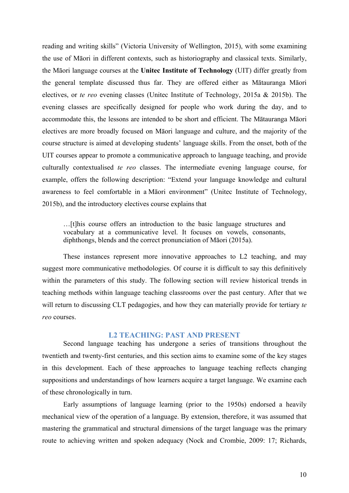reading and writing skills" (Victoria University of Wellington, 2015), with some examining the use of Māori in different contexts, such as historiography and classical texts. Similarly, the Māori language courses at the **Unitec Institute of Technology** (UIT) differ greatly from the general template discussed thus far. They are offered either as Mātauranga Māori electives, or *te reo* evening classes (Unitec Institute of Technology, 2015a & 2015b). The evening classes are specifically designed for people who work during the day, and to accommodate this, the lessons are intended to be short and efficient. The Mātauranga Māori electives are more broadly focused on Māori language and culture, and the majority of the course structure is aimed at developing students' language skills. From the onset, both of the UIT courses appear to promote a communicative approach to language teaching, and provide culturally contextualised *te reo* classes. The intermediate evening language course, for example, offers the following description: "Extend your language knowledge and cultural awareness to feel comfortable in a Māori environment" (Unitec Institute of Technology, 2015b), and the introductory electives course explains that

…[t]his course offers an introduction to the basic language structures and vocabulary at a communicative level. It focuses on vowels, consonants, diphthongs, blends and the correct pronunciation of Māori (2015a).

These instances represent more innovative approaches to L2 teaching, and may suggest more communicative methodologies. Of course it is difficult to say this definitively within the parameters of this study. The following section will review historical trends in teaching methods within language teaching classrooms over the past century. After that we will return to discussing CLT pedagogies, and how they can materially provide for tertiary *te reo* courses.

## **L2 TEACHING: PAST AND PRESENT**

 Second language teaching has undergone a series of transitions throughout the twentieth and twenty-first centuries, and this section aims to examine some of the key stages in this development. Each of these approaches to language teaching reflects changing suppositions and understandings of how learners acquire a target language. We examine each of these chronologically in turn.

 Early assumptions of language learning (prior to the 1950s) endorsed a heavily mechanical view of the operation of a language. By extension, therefore, it was assumed that mastering the grammatical and structural dimensions of the target language was the primary route to achieving written and spoken adequacy (Nock and Crombie, 2009: 17; Richards,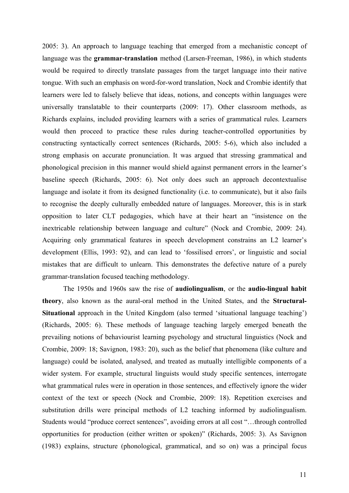2005: 3). An approach to language teaching that emerged from a mechanistic concept of language was the **grammar-translation** method (Larsen-Freeman, 1986), in which students would be required to directly translate passages from the target language into their native tongue. With such an emphasis on word-for-word translation, Nock and Crombie identify that learners were led to falsely believe that ideas, notions, and concepts within languages were universally translatable to their counterparts (2009: 17). Other classroom methods, as Richards explains, included providing learners with a series of grammatical rules. Learners would then proceed to practice these rules during teacher-controlled opportunities by constructing syntactically correct sentences (Richards, 2005: 5-6), which also included a strong emphasis on accurate pronunciation. It was argued that stressing grammatical and phonological precision in this manner would shield against permanent errors in the learner's baseline speech (Richards, 2005: 6). Not only does such an approach decontextualise language and isolate it from its designed functionality (i.e. to communicate), but it also fails to recognise the deeply culturally embedded nature of languages. Moreover, this is in stark opposition to later CLT pedagogies, which have at their heart an "insistence on the inextricable relationship between language and culture" (Nock and Crombie, 2009: 24). Acquiring only grammatical features in speech development constrains an L2 learner's development (Ellis, 1993: 92), and can lead to 'fossilised errors', or linguistic and social mistakes that are difficult to unlearn. This demonstrates the defective nature of a purely grammar-translation focused teaching methodology.

 The 1950s and 1960s saw the rise of **audiolingualism**, or the **audio-lingual habit theory**, also known as the aural-oral method in the United States, and the **Structural-Situational** approach in the United Kingdom (also termed 'situational language teaching') (Richards, 2005: 6). These methods of language teaching largely emerged beneath the prevailing notions of behaviourist learning psychology and structural linguistics (Nock and Crombie, 2009: 18; Savignon, 1983: 20), such as the belief that phenomena (like culture and language) could be isolated, analysed, and treated as mutually intelligible components of a wider system. For example, structural linguists would study specific sentences, interrogate what grammatical rules were in operation in those sentences, and effectively ignore the wider context of the text or speech (Nock and Crombie, 2009: 18). Repetition exercises and substitution drills were principal methods of L2 teaching informed by audiolingualism. Students would "produce correct sentences", avoiding errors at all cost "…through controlled opportunities for production (either written or spoken)" (Richards, 2005: 3). As Savignon (1983) explains, structure (phonological, grammatical, and so on) was a principal focus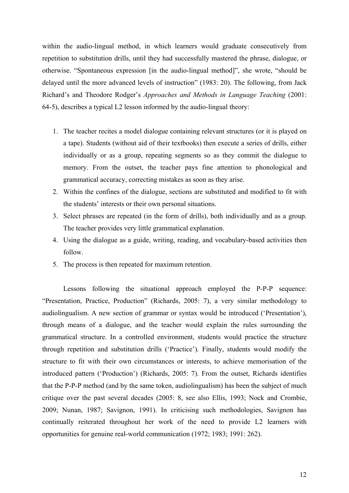within the audio-lingual method, in which learners would graduate consecutively from repetition to substitution drills, until they had successfully mastered the phrase, dialogue, or otherwise. "Spontaneous expression [in the audio-lingual method]", she wrote, "should be delayed until the more advanced levels of instruction" (1983: 20). The following, from Jack Richard's and Theodore Rodger's *Approaches and Methods in Language Teaching* (2001: 64-5), describes a typical L2 lesson informed by the audio-lingual theory:

- 1. The teacher recites a model dialogue containing relevant structures (or it is played on a tape). Students (without aid of their textbooks) then execute a series of drills, either individually or as a group, repeating segments so as they commit the dialogue to memory. From the outset, the teacher pays fine attention to phonological and grammatical accuracy, correcting mistakes as soon as they arise.
- 2. Within the confines of the dialogue, sections are substituted and modified to fit with the students' interests or their own personal situations.
- 3. Select phrases are repeated (in the form of drills), both individually and as a group. The teacher provides very little grammatical explanation.
- 4. Using the dialogue as a guide, writing, reading, and vocabulary-based activities then follow.
- 5. The process is then repeated for maximum retention.

Lessons following the situational approach employed the P-P-P sequence: "Presentation, Practice, Production" (Richards, 2005: 7), a very similar methodology to audiolingualism. A new section of grammar or syntax would be introduced ('Presentation'), through means of a dialogue, and the teacher would explain the rules surrounding the grammatical structure. In a controlled environment, students would practice the structure through repetition and substitution drills ('Practice'). Finally, students would modify the structure to fit with their own circumstances or interests, to achieve memorisation of the introduced pattern ('Production') (Richards, 2005: 7). From the outset, Richards identifies that the P-P-P method (and by the same token, audiolingualism) has been the subject of much critique over the past several decades (2005: 8, see also Ellis, 1993; Nock and Crombie, 2009; Nunan, 1987; Savignon, 1991). In criticising such methodologies, Savignon has continually reiterated throughout her work of the need to provide L2 learners with opportunities for genuine real-world communication (1972; 1983; 1991: 262).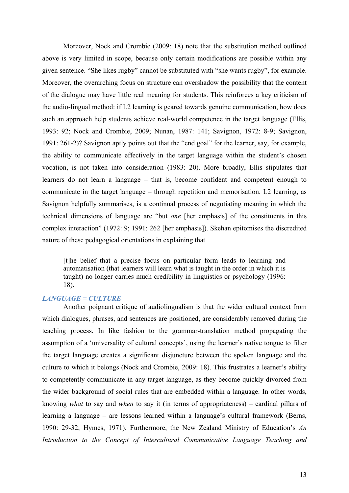Moreover, Nock and Crombie (2009: 18) note that the substitution method outlined above is very limited in scope, because only certain modifications are possible within any given sentence. "She likes rugby" cannot be substituted with "she wants rugby", for example. Moreover, the overarching focus on structure can overshadow the possibility that the content of the dialogue may have little real meaning for students. This reinforces a key criticism of the audio-lingual method: if L2 learning is geared towards genuine communication, how does such an approach help students achieve real-world competence in the target language (Ellis, 1993: 92; Nock and Crombie, 2009; Nunan, 1987: 141; Savignon, 1972: 8-9; Savignon, 1991: 261-2)? Savignon aptly points out that the "end goal" for the learner, say, for example, the ability to communicate effectively in the target language within the student's chosen vocation, is not taken into consideration (1983: 20). More broadly, Ellis stipulates that learners do not learn a language – that is, become confident and competent enough to communicate in the target language – through repetition and memorisation. L2 learning, as Savignon helpfully summarises, is a continual process of negotiating meaning in which the technical dimensions of language are "but *one* [her emphasis] of the constituents in this complex interaction" (1972: 9; 1991: 262 [her emphasis]). Skehan epitomises the discredited nature of these pedagogical orientations in explaining that

[t]he belief that a precise focus on particular form leads to learning and automatisation (that learners will learn what is taught in the order in which it is taught) no longer carries much credibility in linguistics or psychology (1996: 18).

#### *LANGUAGE = CULTURE*

Another poignant critique of audiolingualism is that the wider cultural context from which dialogues, phrases, and sentences are positioned, are considerably removed during the teaching process. In like fashion to the grammar-translation method propagating the assumption of a 'universality of cultural concepts', using the learner's native tongue to filter the target language creates a significant disjuncture between the spoken language and the culture to which it belongs (Nock and Crombie, 2009: 18). This frustrates a learner's ability to competently communicate in any target language, as they become quickly divorced from the wider background of social rules that are embedded within a language. In other words, knowing *what* to say and *when* to say it (in terms of appropriateness) – cardinal pillars of learning a language – are lessons learned within a language's cultural framework (Berns, 1990: 29-32; Hymes, 1971). Furthermore, the New Zealand Ministry of Education's *An Introduction to the Concept of Intercultural Communicative Language Teaching and*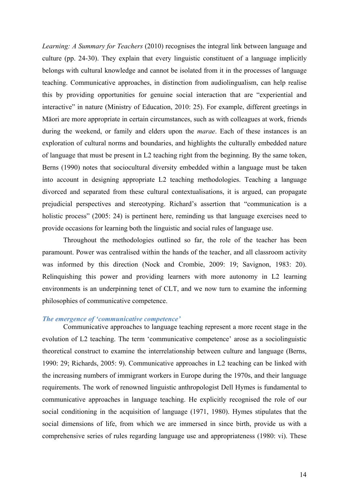*Learning: A Summary for Teachers* (2010) recognises the integral link between language and culture (pp. 24-30). They explain that every linguistic constituent of a language implicitly belongs with cultural knowledge and cannot be isolated from it in the processes of language teaching. Communicative approaches, in distinction from audiolingualism, can help realise this by providing opportunities for genuine social interaction that are "experiential and interactive" in nature (Ministry of Education, 2010: 25). For example, different greetings in Māori are more appropriate in certain circumstances, such as with colleagues at work, friends during the weekend, or family and elders upon the *marae*. Each of these instances is an exploration of cultural norms and boundaries, and highlights the culturally embedded nature of language that must be present in L2 teaching right from the beginning. By the same token, Berns (1990) notes that sociocultural diversity embedded within a language must be taken into account in designing appropriate L2 teaching methodologies. Teaching a language divorced and separated from these cultural contextualisations, it is argued, can propagate prejudicial perspectives and stereotyping. Richard's assertion that "communication is a holistic process" (2005: 24) is pertinent here, reminding us that language exercises need to provide occasions for learning both the linguistic and social rules of language use.

Throughout the methodologies outlined so far, the role of the teacher has been paramount. Power was centralised within the hands of the teacher, and all classroom activity was informed by this direction (Nock and Crombie, 2009: 19; Savignon, 1983: 20). Relinquishing this power and providing learners with more autonomy in L2 learning environments is an underpinning tenet of CLT, and we now turn to examine the informing philosophies of communicative competence.

## *The emergence of 'communicative competence'*

Communicative approaches to language teaching represent a more recent stage in the evolution of L2 teaching. The term 'communicative competence' arose as a sociolinguistic theoretical construct to examine the interrelationship between culture and language (Berns, 1990: 29; Richards, 2005: 9). Communicative approaches in L2 teaching can be linked with the increasing numbers of immigrant workers in Europe during the 1970s, and their language requirements. The work of renowned linguistic anthropologist Dell Hymes is fundamental to communicative approaches in language teaching. He explicitly recognised the role of our social conditioning in the acquisition of language (1971, 1980). Hymes stipulates that the social dimensions of life, from which we are immersed in since birth, provide us with a comprehensive series of rules regarding language use and appropriateness (1980: vi). These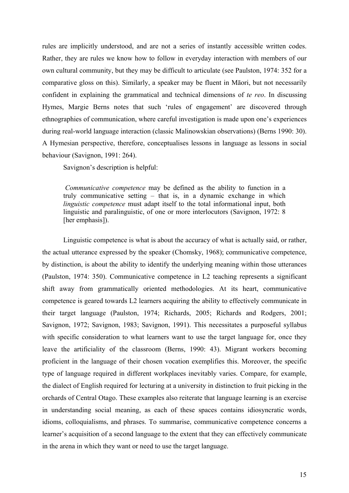rules are implicitly understood, and are not a series of instantly accessible written codes. Rather, they are rules we know how to follow in everyday interaction with members of our own cultural community, but they may be difficult to articulate (see Paulston, 1974: 352 for a comparative gloss on this). Similarly, a speaker may be fluent in Māori, but not necessarily confident in explaining the grammatical and technical dimensions of *te reo*. In discussing Hymes, Margie Berns notes that such 'rules of engagement' are discovered through ethnographies of communication, where careful investigation is made upon one's experiences during real-world language interaction (classic Malinowskian observations) (Berns 1990: 30). A Hymesian perspective, therefore, conceptualises lessons in language as lessons in social behaviour (Savignon, 1991: 264).

Savignon's description is helpful:

*Communicative competence* may be defined as the ability to function in a truly communicative setting – that is, in a dynamic exchange in which *linguistic competence* must adapt itself to the total informational input, both linguistic and paralinguistic, of one or more interlocutors (Savignon, 1972: 8 [her emphasis]).

Linguistic competence is what is about the accuracy of what is actually said, or rather, the actual utterance expressed by the speaker (Chomsky, 1968); communicative competence, by distinction, is about the ability to identify the underlying meaning within those utterances (Paulston, 1974: 350). Communicative competence in L2 teaching represents a significant shift away from grammatically oriented methodologies. At its heart, communicative competence is geared towards L2 learners acquiring the ability to effectively communicate in their target language (Paulston, 1974; Richards, 2005; Richards and Rodgers, 2001; Savignon, 1972; Savignon, 1983; Savignon, 1991). This necessitates a purposeful syllabus with specific consideration to what learners want to use the target language for, once they leave the artificiality of the classroom (Berns, 1990: 43). Migrant workers becoming proficient in the language of their chosen vocation exemplifies this. Moreover, the specific type of language required in different workplaces inevitably varies. Compare, for example, the dialect of English required for lecturing at a university in distinction to fruit picking in the orchards of Central Otago. These examples also reiterate that language learning is an exercise in understanding social meaning, as each of these spaces contains idiosyncratic words, idioms, colloquialisms, and phrases. To summarise, communicative competence concerns a learner's acquisition of a second language to the extent that they can effectively communicate in the arena in which they want or need to use the target language.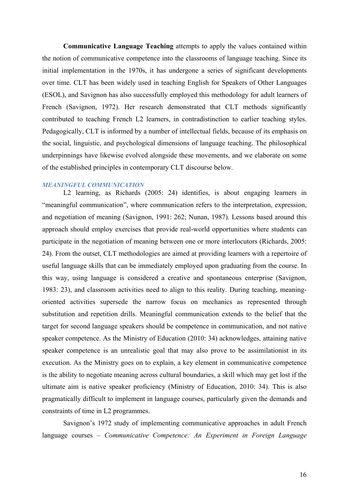**Communicative Language Teaching** attempts to apply the values contained within the notion of communicative competence into the classrooms of language teaching. Since its initial implementation in the 1970s, it has undergone a series of significant developments over time. CLT has been widely used in teaching English for Speakers of Other Languages (ESOL), and Savignon has also successfully employed this methodology for adult learners of French (Savignon, 1972). Her research demonstrated that CLT methods significantly contributed to teaching French L2 learners, in contradistinction to earlier teaching styles. Pedagogically, CLT is informed by a number of intellectual fields, because of its emphasis on the social, linguistic, and psychological dimensions of language teaching. The philosophical underpinnings have likewise evolved alongside these movements, and we elaborate on some of the established principles in contemporary CLT discourse below.

#### *MEANINGFUL COMMUNICATION*

L2 learning, as Richards (2005: 24) identifies, is about engaging learners in "meaningful communication", where communication refers to the interpretation, expression, and negotiation of meaning (Savignon, 1991: 262; Nunan, 1987). Lessons based around this approach should employ exercises that provide real-world opportunities where students can participate in the negotiation of meaning between one or more interlocutors (Richards, 2005: 24). From the outset, CLT methodologies are aimed at providing learners with a repertoire of useful language skills that can be immediately employed upon graduating from the course. In this way, using language is considered a creative and spontaneous enterprise (Savignon, 1983: 23), and classroom activities need to align to this reality. During teaching, meaningoriented activities supersede the narrow focus on mechanics as represented through substitution and repetition drills. Meaningful communication extends to the belief that the target for second language speakers should be competence in communication, and not native speaker competence. As the Ministry of Education (2010: 34) acknowledges, attaining native speaker competence is an unrealistic goal that may also prove to be assimilationist in its execution. As the Ministry goes on to explain, a key element in communicative competence is the ability to negotiate meaning across cultural boundaries, a skill which may get lost if the ultimate aim is native speaker proficiency (Ministry of Education, 2010: 34). This is also pragmatically difficult to implement in language courses, particularly given the demands and constraints of time in L2 programmes.

Savignon's 1972 study of implementing communicative approaches in adult French language courses – *Communicative Competence: An Experiment in Foreign Language*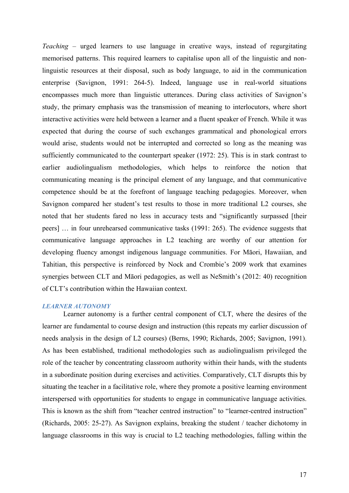*Teaching –* urged learners to use language in creative ways, instead of regurgitating memorised patterns. This required learners to capitalise upon all of the linguistic and nonlinguistic resources at their disposal, such as body language, to aid in the communication enterprise (Savignon, 1991: 264-5). Indeed, language use in real-world situations encompasses much more than linguistic utterances. During class activities of Savignon's study, the primary emphasis was the transmission of meaning to interlocutors, where short interactive activities were held between a learner and a fluent speaker of French. While it was expected that during the course of such exchanges grammatical and phonological errors would arise, students would not be interrupted and corrected so long as the meaning was sufficiently communicated to the counterpart speaker (1972: 25). This is in stark contrast to earlier audiolingualism methodologies, which helps to reinforce the notion that communicating meaning is the principal element of any language, and that communicative competence should be at the forefront of language teaching pedagogies. Moreover, when Savignon compared her student's test results to those in more traditional L2 courses, she noted that her students fared no less in accuracy tests and "significantly surpassed [their peers] … in four unrehearsed communicative tasks (1991: 265). The evidence suggests that communicative language approaches in L2 teaching are worthy of our attention for developing fluency amongst indigenous language communities. For Māori, Hawaiian, and Tahitian, this perspective is reinforced by Nock and Crombie's 2009 work that examines synergies between CLT and Māori pedagogies, as well as NeSmith's (2012: 40) recognition of CLT's contribution within the Hawaiian context.

## *LEARNER AUTONOMY*

Learner autonomy is a further central component of CLT, where the desires of the learner are fundamental to course design and instruction (this repeats my earlier discussion of needs analysis in the design of L2 courses) (Berns, 1990; Richards, 2005; Savignon, 1991). As has been established, traditional methodologies such as audiolingualism privileged the role of the teacher by concentrating classroom authority within their hands, with the students in a subordinate position during exercises and activities. Comparatively, CLT disrupts this by situating the teacher in a facilitative role, where they promote a positive learning environment interspersed with opportunities for students to engage in communicative language activities. This is known as the shift from "teacher centred instruction" to "learner-centred instruction" (Richards, 2005: 25-27). As Savignon explains, breaking the student / teacher dichotomy in language classrooms in this way is crucial to L2 teaching methodologies, falling within the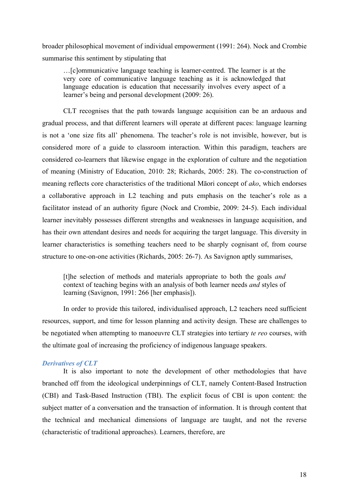broader philosophical movement of individual empowerment (1991: 264). Nock and Crombie summarise this sentiment by stipulating that

…[c]ommunicative language teaching is learner-centred. The learner is at the very core of communicative language teaching as it is acknowledged that language education is education that necessarily involves every aspect of a learner's being and personal development (2009: 26).

CLT recognises that the path towards language acquisition can be an arduous and gradual process, and that different learners will operate at different paces: language learning is not a 'one size fits all' phenomena. The teacher's role is not invisible, however, but is considered more of a guide to classroom interaction. Within this paradigm, teachers are considered co-learners that likewise engage in the exploration of culture and the negotiation of meaning (Ministry of Education, 2010: 28; Richards, 2005: 28). The co-construction of meaning reflects core characteristics of the traditional Māori concept of *ako*, which endorses a collaborative approach in L2 teaching and puts emphasis on the teacher's role as a facilitator instead of an authority figure (Nock and Crombie, 2009: 24-5). Each individual learner inevitably possesses different strengths and weaknesses in language acquisition, and has their own attendant desires and needs for acquiring the target language. This diversity in learner characteristics is something teachers need to be sharply cognisant of, from course structure to one-on-one activities (Richards, 2005: 26-7). As Savignon aptly summarises,

[t]he selection of methods and materials appropriate to both the goals *and*  context of teaching begins with an analysis of both learner needs *and* styles of learning (Savignon, 1991: 266 [her emphasis]).

In order to provide this tailored, individualised approach, L2 teachers need sufficient resources, support, and time for lesson planning and activity design. These are challenges to be negotiated when attempting to manoeuvre CLT strategies into tertiary *te reo* courses, with the ultimate goal of increasing the proficiency of indigenous language speakers.

## *Derivatives of CLT*

It is also important to note the development of other methodologies that have branched off from the ideological underpinnings of CLT, namely Content-Based Instruction (CBI) and Task-Based Instruction (TBI). The explicit focus of CBI is upon content: the subject matter of a conversation and the transaction of information. It is through content that the technical and mechanical dimensions of language are taught, and not the reverse (characteristic of traditional approaches). Learners, therefore, are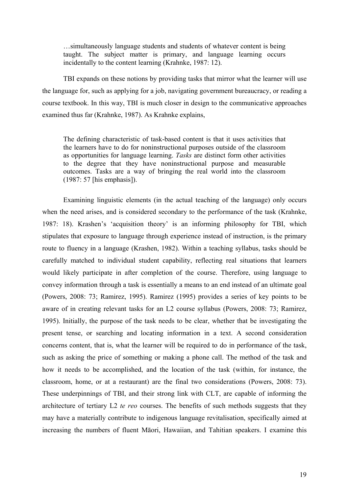…simultaneously language students and students of whatever content is being taught. The subject matter is primary, and language learning occurs incidentally to the content learning (Krahnke, 1987: 12).

TBI expands on these notions by providing tasks that mirror what the learner will use the language for, such as applying for a job, navigating government bureaucracy, or reading a course textbook. In this way, TBI is much closer in design to the communicative approaches examined thus far (Krahnke, 1987). As Krahnke explains,

The defining characteristic of task-based content is that it uses activities that the learners have to do for noninstructional purposes outside of the classroom as opportunities for language learning. *Tasks* are distinct form other activities to the degree that they have noninstructional purpose and measurable outcomes. Tasks are a way of bringing the real world into the classroom (1987: 57 [his emphasis]).

Examining linguistic elements (in the actual teaching of the language) only occurs when the need arises, and is considered secondary to the performance of the task (Krahnke, 1987: 18). Krashen's 'acquisition theory' is an informing philosophy for TBI, which stipulates that exposure to language through experience instead of instruction, is the primary route to fluency in a language (Krashen, 1982). Within a teaching syllabus, tasks should be carefully matched to individual student capability, reflecting real situations that learners would likely participate in after completion of the course. Therefore, using language to convey information through a task is essentially a means to an end instead of an ultimate goal (Powers, 2008: 73; Ramirez, 1995). Ramirez (1995) provides a series of key points to be aware of in creating relevant tasks for an L2 course syllabus (Powers, 2008: 73; Ramirez, 1995). Initially, the purpose of the task needs to be clear, whether that be investigating the present tense, or searching and locating information in a text. A second consideration concerns content, that is, what the learner will be required to do in performance of the task, such as asking the price of something or making a phone call. The method of the task and how it needs to be accomplished, and the location of the task (within, for instance, the classroom, home, or at a restaurant) are the final two considerations (Powers, 2008: 73). These underpinnings of TBI, and their strong link with CLT, are capable of informing the architecture of tertiary L2 *te reo* courses. The benefits of such methods suggests that they may have a materially contribute to indigenous language revitalisation, specifically aimed at increasing the numbers of fluent Māori, Hawaiian, and Tahitian speakers. I examine this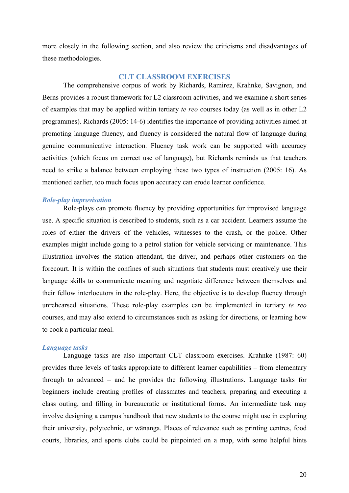more closely in the following section, and also review the criticisms and disadvantages of these methodologies.

## **CLT CLASSROOM EXERCISES**

The comprehensive corpus of work by Richards, Ramirez, Krahnke, Savignon, and Berns provides a robust framework for L2 classroom activities, and we examine a short series of examples that may be applied within tertiary *te reo* courses today (as well as in other L2 programmes). Richards (2005: 14-6) identifies the importance of providing activities aimed at promoting language fluency, and fluency is considered the natural flow of language during genuine communicative interaction. Fluency task work can be supported with accuracy activities (which focus on correct use of language), but Richards reminds us that teachers need to strike a balance between employing these two types of instruction (2005: 16). As mentioned earlier, too much focus upon accuracy can erode learner confidence.

#### *Role-play improvisation*

Role-plays can promote fluency by providing opportunities for improvised language use. A specific situation is described to students, such as a car accident. Learners assume the roles of either the drivers of the vehicles, witnesses to the crash, or the police. Other examples might include going to a petrol station for vehicle servicing or maintenance. This illustration involves the station attendant, the driver, and perhaps other customers on the forecourt. It is within the confines of such situations that students must creatively use their language skills to communicate meaning and negotiate difference between themselves and their fellow interlocutors in the role-play. Here, the objective is to develop fluency through unrehearsed situations. These role-play examples can be implemented in tertiary *te reo*  courses, and may also extend to circumstances such as asking for directions, or learning how to cook a particular meal.

## *Language tasks*

Language tasks are also important CLT classroom exercises. Krahnke (1987: 60) provides three levels of tasks appropriate to different learner capabilities – from elementary through to advanced – and he provides the following illustrations. Language tasks for beginners include creating profiles of classmates and teachers, preparing and executing a class outing, and filling in bureaucratic or institutional forms. An intermediate task may involve designing a campus handbook that new students to the course might use in exploring their university, polytechnic, or wānanga. Places of relevance such as printing centres, food courts, libraries, and sports clubs could be pinpointed on a map, with some helpful hints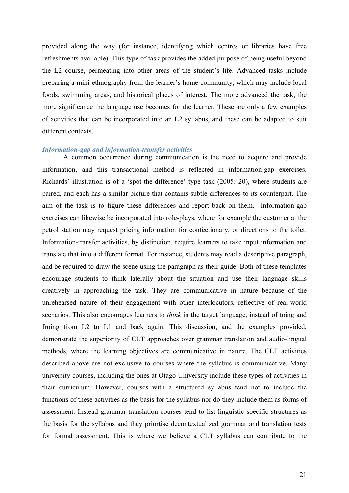provided along the way (for instance, identifying which centres or libraries have free refreshments available). This type of task provides the added purpose of being useful beyond the L2 course, permeating into other areas of the student's life. Advanced tasks include preparing a mini-ethnography from the learner's home community, which may include local foods, swimming areas, and historical places of interest. The more advanced the task, the more significance the language use becomes for the learner. These are only a few examples of activities that can be incorporated into an L2 syllabus, and these can be adapted to suit different contexts.

#### *Information-gap and information-transfer activities*

A common occurrence during communication is the need to acquire and provide information, and this transactional method is reflected in information-gap exercises. Richards' illustration is of a 'spot-the-difference' type task (2005: 20), where students are paired, and each has a similar picture that contains subtle differences to its counterpart. The aim of the task is to figure these differences and report back on them. Information-gap exercises can likewise be incorporated into role-plays, where for example the customer at the petrol station may request pricing information for confectionary, or directions to the toilet. Information-transfer activities, by distinction, require learners to take input information and translate that into a different format. For instance, students may read a descriptive paragraph, and be required to draw the scene using the paragraph as their guide. Both of these templates encourage students to think laterally about the situation and use their language skills creatively in approaching the task. They are communicative in nature because of the unrehearsed nature of their engagement with other interlocutors, reflective of real-world scenarios. This also encourages learners to *think* in the target language, instead of toing and froing from L2 to L1 and back again. This discussion, and the examples provided, demonstrate the superiority of CLT approaches over grammar translation and audio-lingual methods, where the learning objectives are communicative in nature. The CLT activities described above are not exclusive to courses where the syllabus is communicative. Many university courses, including the ones at Otago University include these types of activities in their curriculum. However, courses with a structured syllabus tend not to include the functions of these activities as the basis for the syllabus nor do they include them as forms of assessment. Instead grammar-translation courses tend to list linguistic specific structures as the basis for the syllabus and they priortise decontextualized grammar and translation tests for formal assessment. This is where we believe a CLT syllabus can contribute to the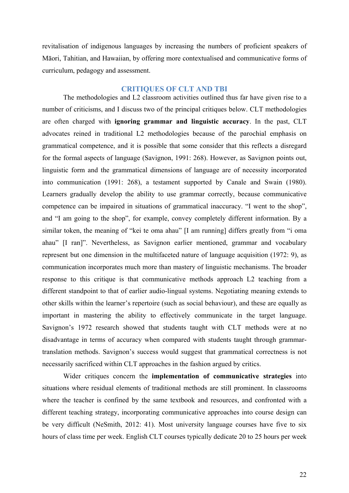revitalisation of indigenous languages by increasing the numbers of proficient speakers of Māori, Tahitian, and Hawaiian, by offering more contextualised and communicative forms of curriculum, pedagogy and assessment.

## **CRITIQUES OF CLT AND TBI**

The methodologies and L2 classroom activities outlined thus far have given rise to a number of criticisms, and I discuss two of the principal critiques below. CLT methodologies are often charged with **ignoring grammar and linguistic accuracy**. In the past, CLT advocates reined in traditional L2 methodologies because of the parochial emphasis on grammatical competence, and it is possible that some consider that this reflects a disregard for the formal aspects of language (Savignon, 1991: 268). However, as Savignon points out, linguistic form and the grammatical dimensions of language are of necessity incorporated into communication (1991: 268), a testament supported by Canale and Swain (1980). Learners gradually develop the ability to use grammar correctly, because communicative competence can be impaired in situations of grammatical inaccuracy. "I went to the shop", and "I am going to the shop", for example, convey completely different information. By a similar token, the meaning of "kei te oma ahau" [I am running] differs greatly from "i oma ahau" [I ran]". Nevertheless, as Savignon earlier mentioned, grammar and vocabulary represent but one dimension in the multifaceted nature of language acquisition (1972: 9), as communication incorporates much more than mastery of linguistic mechanisms. The broader response to this critique is that communicative methods approach L2 teaching from a different standpoint to that of earlier audio-lingual systems. Negotiating meaning extends to other skills within the learner's repertoire (such as social behaviour), and these are equally as important in mastering the ability to effectively communicate in the target language. Savignon's 1972 research showed that students taught with CLT methods were at no disadvantage in terms of accuracy when compared with students taught through grammartranslation methods. Savignon's success would suggest that grammatical correctness is not necessarily sacrificed within CLT approaches in the fashion argued by critics.

Wider critiques concern the **implementation of communicative strategies** into situations where residual elements of traditional methods are still prominent. In classrooms where the teacher is confined by the same textbook and resources, and confronted with a different teaching strategy, incorporating communicative approaches into course design can be very difficult (NeSmith, 2012: 41). Most university language courses have five to six hours of class time per week. English CLT courses typically dedicate 20 to 25 hours per week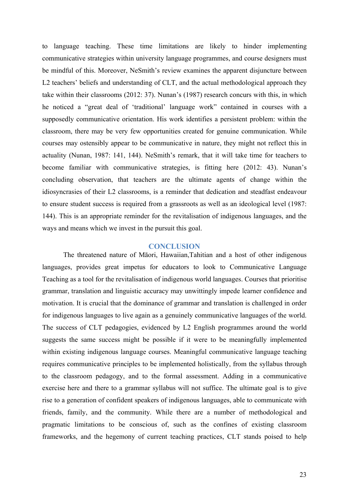to language teaching. These time limitations are likely to hinder implementing communicative strategies within university language programmes, and course designers must be mindful of this. Moreover, NeSmith's review examines the apparent disjuncture between L2 teachers' beliefs and understanding of CLT, and the actual methodological approach they take within their classrooms (2012: 37). Nunan's (1987) research concurs with this, in which he noticed a "great deal of 'traditional' language work" contained in courses with a supposedly communicative orientation. His work identifies a persistent problem: within the classroom, there may be very few opportunities created for genuine communication. While courses may ostensibly appear to be communicative in nature, they might not reflect this in actuality (Nunan, 1987: 141, 144). NeSmith's remark, that it will take time for teachers to become familiar with communicative strategies, is fitting here (2012: 43). Nunan's concluding observation, that teachers are the ultimate agents of change within the idiosyncrasies of their L2 classrooms, is a reminder that dedication and steadfast endeavour to ensure student success is required from a grassroots as well as an ideological level (1987: 144). This is an appropriate reminder for the revitalisation of indigenous languages, and the ways and means which we invest in the pursuit this goal.

#### **CONCLUSION**

The threatened nature of Māori, Hawaiian,Tahitian and a host of other indigenous languages, provides great impetus for educators to look to Communicative Language Teaching as a tool for the revitalisation of indigenous world languages. Courses that prioritise grammar, translation and linguistic accuracy may unwittingly impede learner confidence and motivation. It is crucial that the dominance of grammar and translation is challenged in order for indigenous languages to live again as a genuinely communicative languages of the world. The success of CLT pedagogies, evidenced by L2 English programmes around the world suggests the same success might be possible if it were to be meaningfully implemented within existing indigenous language courses. Meaningful communicative language teaching requires communicative principles to be implemented holistically, from the syllabus through to the classroom pedagogy, and to the formal assessment. Adding in a communicative exercise here and there to a grammar syllabus will not suffice. The ultimate goal is to give rise to a generation of confident speakers of indigenous languages, able to communicate with friends, family, and the community. While there are a number of methodological and pragmatic limitations to be conscious of, such as the confines of existing classroom frameworks, and the hegemony of current teaching practices, CLT stands poised to help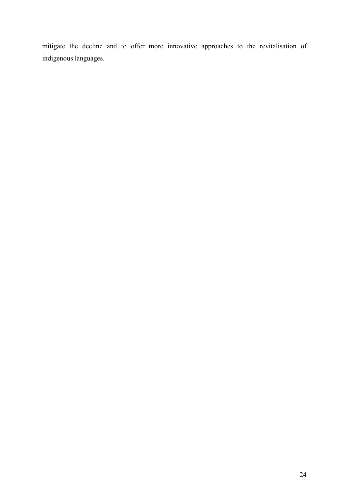mitigate the decline and to offer more innovative approaches to the revitalisation of indigenous languages.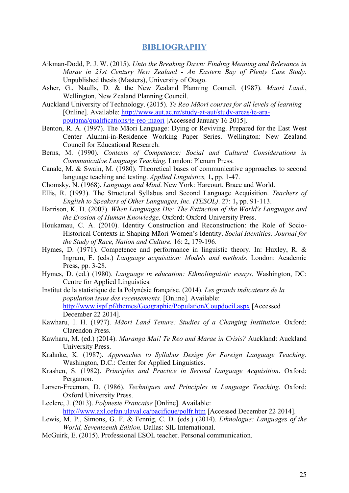## **BIBLIOGRAPHY**

- Aikman-Dodd, P. J. W. (2015). *Unto the Breaking Dawn: Finding Meaning and Relevance in Marae in 21st Century New Zealand - An Eastern Bay of Plenty Case Study.* Unpublished thesis (Masters), University of Otago.
- Asher, G., Naulls, D. & the New Zealand Planning Council. (1987). *Maori Land.*, Wellington, New Zealand Planning Council.
- Auckland University of Technology. (2015). *Te Reo Māori courses for all levels of learning*  [Online]. Available: http://www.aut.ac.nz/study-at-aut/study-areas/te-arapoutama/qualifications/te-reo-maori [Accessed January 16 2015].
- Benton, R. A. (1997). The Māori Language: Dying or Reviving. Prepared for the East West Center Alumni-in-Residence Working Paper Series. Wellington: New Zealand Council for Educational Research.
- Berns, M. (1990). *Contexts of Competence: Social and Cultural Considerations in Communicative Language Teaching*. London: Plenum Press.
- Canale, M. & Swain, M. (1980). Theoretical bases of communicative approaches to second language teaching and testing. *Applied Linguistics,* 1**,** pp. 1-47.
- Chomsky, N. (1968). *Language and Mind*. New York: Harcourt, Brace and World.
- Ellis, R. (1993). The Structural Syllabus and Second Language Acquisition. *Teachers of English to Speakers of Other Languages, Inc. (TESOL)*. 27: 1**,** pp. 91-113.
- Harrison, K. D. (2007). *When Languages Die: The Extinction of the World's Languages and the Erosion of Human Knowledge*. Oxford: Oxford University Press.
- Houkamau, C. A. (2010). Identity Construction and Reconstruction: the Role of Socio-Historical Contexts in Shaping Māori Women's Identity. *Social Identities: Journal for the Study of Race, Nation and Culture.* 16: 2**,** 179-196.
- Hymes, D. (1971). Competence and performance in linguistic theory. In: Huxley, R. & Ingram, E. (eds.) *Language acquisition: Models and methods.* London: Academic Press, pp. 3-28.
- Hymes, D. (ed.) (1980). *Language in education: Ethnolinguistic essays*. Washington, DC: Centre for Applied Linguistics.
- Institut de la statistique de la Polynésie française. (2014). *Les grands indicateurs de la population issus des recensements.* [Online]. Available: http://www.ispf.pf/themes/Geographie/Population/Coupdoeil.aspx [Accessed December 22 2014].
- Kawharu, I. H. (1977). *Māori Land Tenure: Studies of a Changing Institution*. Oxford: Clarendon Press.
- Kawharu, M. (ed.) (2014). *Maranga Mai! Te Reo and Marae in Crisis?* Auckland: Auckland University Press.
- Krahnke, K. (1987). *Approaches to Syllabus Design for Foreign Language Teaching.*  Washington, D.C.: Center for Applied Linguistics.
- Krashen, S. (1982). *Principles and Practice in Second Language Acquisition*. Oxford: Pergamon.
- Larsen-Freeman, D. (1986). *Techniques and Principles in Language Teaching*. Oxford: Oxford University Press.
- Leclerc, J. (2013). *Polynesie Francaise* [Online]. Available: http://www.axl.cefan.ulaval.ca/pacifique/polfr.htm [Accessed December 22 2014].
- Lewis, M. P., Simons, G. F. & Fennig, C. D. (eds.) (2014). *Ethnologue: Languages of the World, Seventeenth Edition.* Dallas: SIL International.
- McGuirk, E. (2015). Professional ESOL teacher. Personal communication.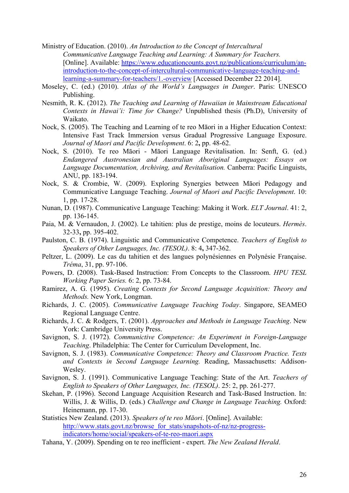- Ministry of Education. (2010). *An Introduction to the Concept of Intercultural Communicative Language Teaching and Learning: A Summary for Teachers.* [Online]. Available: https://www.educationcounts.govt.nz/publications/curriculum/anintroduction-to-the-concept-of-intercultural-communicative-language-teaching-andlearning-a-summary-for-teachers/1.-overview [Accessed December 22 2014].
- Moseley, C. (ed.) (2010). *Atlas of the World's Languages in Danger*. Paris: UNESCO Publishing.
- Nesmith, R. K. (2012). *The Teaching and Learning of Hawaiian in Mainstream Educational Contexts in Hawai'i: Time for Change?* Unpublished thesis (Ph.D), University of Waikato.
- Nock, S. (2005). The Teaching and Learning of te reo Māori in a Higher Education Context: Intensive Fast Track Immersion versus Gradual Progressive Language Exposure. *Journal of Maori and Pacific Development*. 6: 2**,** pp. 48-62.
- Nock, S. (2010). Te reo Māori Māori Language Revitalisation. In: Senft, G. (ed.) *Endangered Austronesian and Australian Aboriginal Languages: Essays on Language Documentation, Archiving, and Revitalisation.* Canberra: Pacific Linguists, ANU, pp. 183-194.
- Nock, S. & Crombie, W. (2009). Exploring Synergies between Māori Pedagogy and Communicative Language Teaching. *Journal of Maori and Pacific Development*. 10: 1, pp. 17-28.
- Nunan, D. (1987). Communicative Language Teaching: Making it Work. *ELT Journal*. 41: 2, pp. 136-145.
- Paia, M. & Vernaudon, J. (2002). Le tahitien: plus de prestige, moins de locuteurs. *Hermès*. 32-33**,** pp. 395-402.
- Paulston, C. B. (1974). Linguistic and Communicative Competence. *Teachers of English to Speakers of Other Languages, Inc. (TESOL)*. 8: 4**,** 347-362.
- Peltzer, L. (2009). Le cas du tahitien et des langues polynésiennes en Polynésie Française. *Tréma*, 31, pp. 97-106.
- Powers, D. (2008). Task-Based Instruction: From Concepts to the Classroom. *HPU TESL Working Paper Series.* 6: 2, pp. 73-84.
- Ramirez, A. G. (1995). *Creating Contexts for Second Language Acquisition: Theory and Methods.* New York, Longman.
- Richards, J. C. (2005). *Communicative Language Teaching Today*. Singapore, SEAMEO Regional Language Centre.
- Richards, J. C. & Rodgers, T. (2001). *Approaches and Methods in Language Teaching*. New York: Cambridge University Press.
- Savignon, S. J. (1972). *Communictive Competence: An Experiment in Foreign-Language Teaching*. Philadelphia: The Center for Curriculum Development, Inc.
- Savignon, S. J. (1983). *Communicative Competence: Theory and Classroom Practice. Texts and Contexts in Second Language Learning.* Reading, Massachusetts: Addison-Wesley.
- Savignon, S. J. (1991). Communicative Language Teaching: State of the Art. *Teachers of English to Speakers of Other Languages, Inc. (TESOL)*. 25: 2, pp. 261-277.
- Skehan, P. (1996). Second Language Acquisition Research and Task-Based Instruction. In: Willis, J. & Willis, D. (eds.) *Challenge and Change in Language Teaching.* Oxford: Heinemann, pp. 17-30.
- Statistics New Zealand. (2013). *Speakers of te reo Māori*. [Online]. Available: http://www.stats.govt.nz/browse\_for\_stats/snapshots-of-nz/nz-progressindicators/home/social/speakers-of-te-reo-maori.aspx
- Tahana, Y. (2009). Spending on te reo inefficient expert. *The New Zealand Herald*.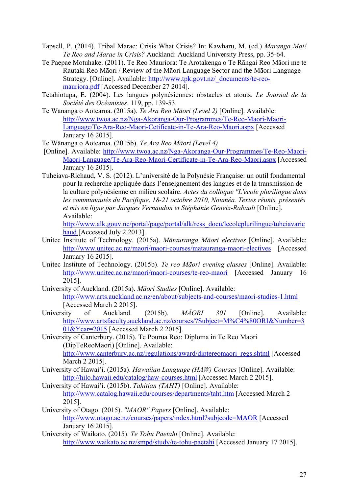- Tapsell, P. (2014). Tribal Marae: Crisis What Crisis? In: Kawharu, M. (ed.) *Maranga Mai! Te Reo and Marae in Crisis?* Auckland: Auckland University Press, pp. 35-64.
- Te Paepae Motuhake. (2011). Te Reo Mauriora: Te Arotakenga o Te Rāngai Reo Māori me te Rautaki Reo Māori / Review of the Māori Language Sector and the Māori Language Strategy. [Online]. Available: http://www.tpk.govt.nz/\_documents/te-reomauriora.pdf [Accessed December 27 2014].
- Tetahiotupa, E. (2004). Les langues polynésiennes: obstacles et atouts. *Le Journal de la Société des Océanistes*. 119, pp. 139-53.
- Te Wānanga o Aotearoa. (2015a). *Te Ara Reo Māori (Level 2)* [Online]. Available: http://www.twoa.ac.nz/Nga-Akoranga-Our-Programmes/Te-Reo-Maori-Maori-Language/Te-Ara-Reo-Maori-Cetificate-in-Te-Ara-Reo-Maori.aspx [Accessed January 16 2015].
- Te Wānanga o Aotearoa. (2015b). *Te Ara Reo Māori (Level 4)*
- [Online]. Available: http://www.twoa.ac.nz/Nga-Akoranga-Our-Programmes/Te-Reo-Maori-Maori-Language/Te-Ara-Reo-Maori-Certificate-in-Te-Ara-Reo-Maori.aspx [Accessed January 16 2015].
- Tuheiava-Richaud, V. S. (2012). L'université de la Polynésie Française: un outil fondamental pour la recherche appliquée dans l'enseignement des langues et de la transmission de la culture polynésienne en milieu scolaire. *Actes du colloque "L'école plurilingue dans les communautés du Pacifique*. *18-21 octobre 2010, Nouméa. Textes réunis, présentés et mis en ligne par Jacques Vernaudon et Stéphanie Geneix-Rabault* [Online]. Available:

http://www.alk.gouv.nc/portal/page/portal/alk/ress\_docu/lecoleplurilingue/tuheiavaric haud [Accessed July 2 2013].

- Unitec Institute of Technology. (2015a). *Mātauranga Māori electives* [Online]. Available: http://www.unitec.ac.nz/maori/maori-courses/matauranga-maori-electives [Accessed January 16 2015].
- Unitec Institute of Technology. (2015b). *Te reo Māori evening classes* [Online]. Available: http://www.unitec.ac.nz/maori/maori-courses/te-reo-maori [Accessed January 16 2015].
- University of Auckland. (2015a). *Māori Studies* [Online]. Available: http://www.arts.auckland.ac.nz/en/about/subjects-and-courses/maori-studies-1.html [Accessed March 2 2015].
- University of Auckland. (2015b). *MĀORI 301* [Online]. Available: http://www.artsfaculty.auckland.ac.nz/courses/?Subject=M%C4%80ORI&Number=3 01&Year=2015 [Accessed March 2 2015].

University of Canterbury. (2015). Te Pourua Reo: Diploma in Te Reo Maori (DipTeReoMaori) [Online]. Available: http://www.canterbury.ac.nz/regulations/award/diptereomaori\_regs.shtml [Accessed March 2 2015].

- University of Hawai'i. (2015a). *Hawaiian Language (HAW) Courses* [Online]. Available: http://hilo.hawaii.edu/catalog/haw-courses.html [Accessed March 2 2015].
- University of Hawai'i. (2015b). *Tahitian (TAHT)* [Online]. Available: http://www.catalog.hawaii.edu/courses/departments/taht.htm [Accessed March 2 2015].
- University of Otago. (2015). *"MAOR" Papers* [Online]. Available: http://www.otago.ac.nz/courses/papers/index.html?subjcode=MAOR [Accessed January 16 2015].
- University of Waikato. (2015). *Te Tohu Paetahi* [Online]. Available: http://www.waikato.ac.nz/smpd/study/te-tohu-paetahi [Accessed January 17 2015].